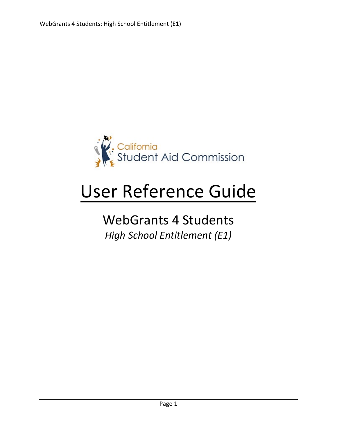

# User Reference Guide

# WebGrants 4 Students *High School Entitlement (E1)*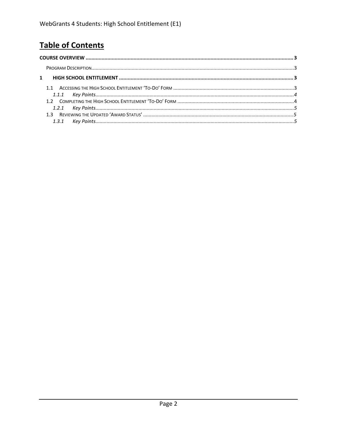# **Table of Contents**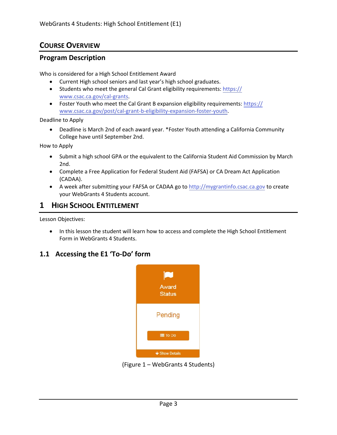# <span id="page-2-0"></span>**COURSE OVERVIEW**

#### <span id="page-2-1"></span>**Program Description**

Who is considered for a High School Entitlement Award

- Current High school seniors and last year's high school graduates.
- Students who meet the general Cal Grant eligibility requirements: https:// www.csac.ca.gov/cal-grants.
- Foster Youth who meet the Cal Grant B expansion eligibility requirements: https:// www.csac.ca.gov/post/cal-grant-b-eligibility-expansion-foster-youth.

Deadline to Apply

• Deadline is March 2nd of each award year. \*Foster Youth attending a California Community College have until September 2nd.

How to Apply

- Submit a high school GPA or the equivalent to the California Student Aid Commission by March 2nd.
- Complete a Free Application for Federal Student Aid (FAFSA) or CA Dream Act Application (CADAA).
- A week after submitting your FAFSA or CADAA go to http://mygrantinfo.csac.ca.gov to create your WebGrants 4 Students account.

### **1 HIGH SCHOOL ENTITLEMENT**

Lesson Objectives:

• In this lesson the student will learn how to access and complete the High School Entitlement Form in WebGrants 4 Students.

## **1.1 Accessing the E1 'To-Do' form**



(Figure 1 – WebGrants 4 Students)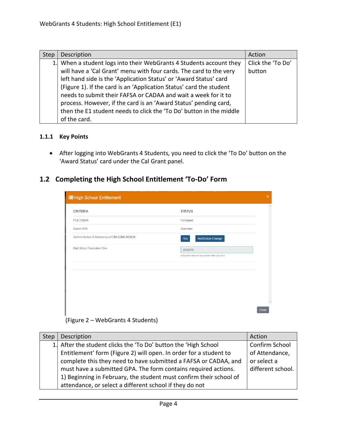| <b>Step</b> | Description                                                         | Action            |
|-------------|---------------------------------------------------------------------|-------------------|
|             | 1. When a student logs into their WebGrants 4 Students account they | Click the 'To Do' |
|             | will have a 'Cal Grant' menu with four cards. The card to the very  | button            |
|             | left hand side is the 'Application Status' or 'Award Status' card   |                   |
|             | (Figure 1). If the card is an 'Application Status' card the student |                   |
|             | needs to submit their FAFSA or CADAA and wait a week for it to      |                   |
|             | process. However, if the card is an 'Award Status' pending card,    |                   |
|             | then the E1 student needs to click the 'To Do' button in the middle |                   |
|             | of the card.                                                        |                   |

#### <span id="page-3-0"></span>**1.1.1 Key Points**

• After logging into WebGrants 4 Students, you need to click the 'To Do' button on the 'Award Status' card under the Cal Grant panel.

# **1.2 Completing the High School Entitlement 'To-Do' Form**

| <b>IE</b> High School Entitlement              |                                                   | $\mathbf x$             |  |
|------------------------------------------------|---------------------------------------------------|-------------------------|--|
| <b>CRITERIA</b>                                | <b>STATUS</b>                                     | $\Delta$                |  |
| <b>FILE CADAA</b>                              | Completed                                         |                         |  |
| Submit GPA                                     | Submitted                                         |                         |  |
| Confirm School of Attendance at CSU LONG BEACH | No/School Change<br>Yes                           |                         |  |
| <b>High School Graduation Date</b>             | 06/2019                                           |                         |  |
|                                                | Graduation date will be available after Jun 2019. |                         |  |
|                                                |                                                   |                         |  |
|                                                |                                                   |                         |  |
|                                                |                                                   |                         |  |
|                                                |                                                   |                         |  |
|                                                |                                                   | $\overline{\mathbf{v}}$ |  |
|                                                |                                                   | <b>Close</b>            |  |

#### (Figure 2 – WebGrants 4 Students)

| Step | Description                                                        | Action            |
|------|--------------------------------------------------------------------|-------------------|
|      | 1. After the student clicks the 'To Do' button the 'High School    | Confirm School    |
|      | Entitlement' form (Figure 2) will open. In order for a student to  | of Attendance,    |
|      | complete this they need to have submitted a FAFSA or CADAA, and    | or select a       |
|      | must have a submitted GPA. The form contains required actions.     | different school. |
|      | 1) Beginning in February, the student must confirm their school of |                   |
|      | attendance, or select a different school if they do not            |                   |